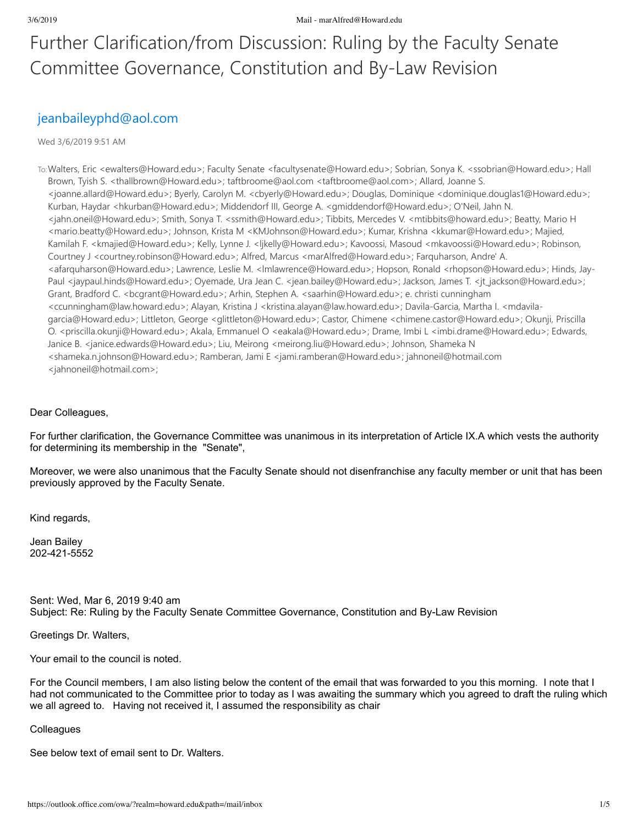### Further Clarification/from Discussion: Ruling by the Faculty Senate Committee Governance, Constitution and By‐Law Revision

### jeanbaileyphd@aol.com

#### Wed 3/6/2019 9:51 AM

To:Walters, Eric <ewalters@Howard.edu>; Faculty Senate <facultysenate@Howard.edu>; Sobrian, Sonya K. <ssobrian@Howard.edu>; Hall Brown, Tyish S. <thallbrown@Howard.edu>; taftbroome@aol.com <taftbroome@aol.com>; Allard, Joanne S. <joanne.allard@Howard.edu>; Byerly, Carolyn M. <cbyerly@Howard.edu>; Douglas, Dominique <dominique.douglas1@Howard.edu>; Kurban, Haydar <hkurban@Howard.edu>; Middendorf III, George A. <gmiddendorf@Howard.edu>; O'Neil, Jahn N. <jahn.oneil@Howard.edu>; Smith, Sonya T. <ssmith@Howard.edu>; Tibbits, Mercedes V. <mtibbits@howard.edu>; Beatty, Mario H <mario.beatty@Howard.edu>; Johnson, Krista M <KMJohnson@Howard.edu>; Kumar, Krishna <kkumar@Howard.edu>; Majied, Kamilah F. <kmajied@Howard.edu>; Kelly, Lynne J. <ljkelly@Howard.edu>; Kavoossi, Masoud <mkavoossi@Howard.edu>; Robinson, Courtney J <courtney.robinson@Howard.edu>; Alfred, Marcus <marAlfred@Howard.edu>; Farquharson, Andre' A. <afarquharson@Howard.edu>; Lawrence, Leslie M. <lmlawrence@Howard.edu>; Hopson, Ronald <rhopson@Howard.edu>; Hinds, Jay‐ Paul <jaypaul.hinds@Howard.edu>; Oyemade, Ura Jean C. <jean.bailey@Howard.edu>; Jackson, James T. <jt\_jackson@Howard.edu>; Grant, Bradford C. <bcgrant@Howard.edu>; Arhin, Stephen A. <saarhin@Howard.edu>; e. christi cunningham <ccunningham@law.howard.edu>; Alayan, Kristina J <kristina.alayan@law.howard.edu>; Davila‐Garcia, Martha I. <mdavila‐ garcia@Howard.edu>; Littleton, George <glittleton@Howard.edu>; Castor, Chimene <chimene.castor@Howard.edu>; Okunji, Priscilla O. <priscilla.okunji@Howard.edu>; Akala, Emmanuel O <eakala@Howard.edu>; Drame, Imbi L <imbi.drame@Howard.edu>; Edwards, Janice B. <janice.edwards@Howard.edu>; Liu, Meirong <meirong.liu@Howard.edu>; Johnson, Shameka N <shameka.n.johnson@Howard.edu>; Ramberan, Jami E <jami.ramberan@Howard.edu>; jahnoneil@hotmail.com <jahnoneil@hotmail.com>;

### Dear Colleagues,

For further clarification, the Governance Committee was unanimous in its interpretation of Article IX.A which vests the authority for determining its membership in the "Senate",

Moreover, we were also unanimous that the Faculty Senate should not disenfranchise any faculty member or unit that has been previously approved by the Faculty Senate.

Kind regards,

Jean Bailey 202-421-5552

Sent: Wed, Mar 6, 2019 9:40 am Subject: Re: Ruling by the Faculty Senate Committee Governance, Constitution and By-Law Revision

Greetings Dr. Walters,

Your email to the council is noted.

For the Council members, I am also listing below the content of the email that was forwarded to you this morning. I note that I had not communicated to the Committee prior to today as I was awaiting the summary which you agreed to draft the ruling which we all agreed to. Having not received it, I assumed the responsibility as chair

#### **Colleagues**

See below text of email sent to Dr. Walters.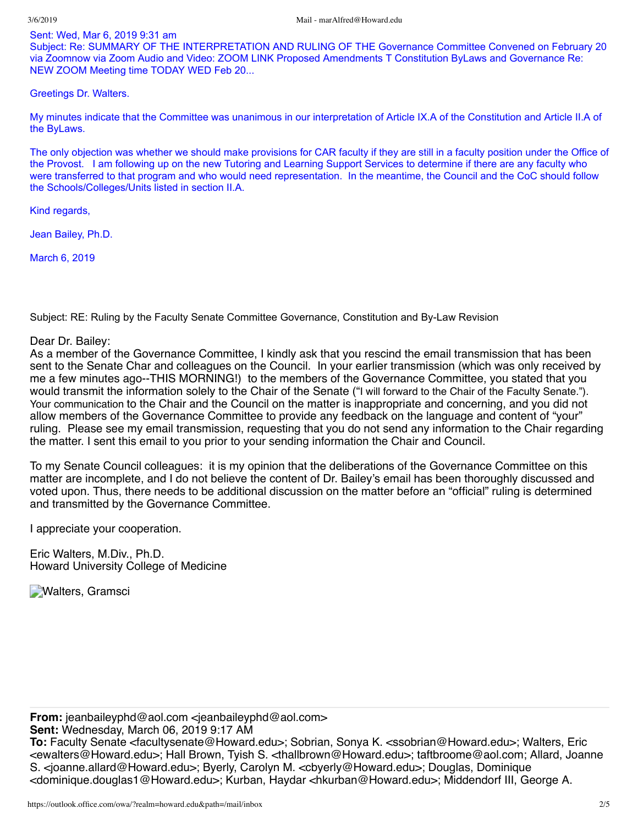#### Sent: Wed, Mar 6, 2019 9:31 am

Subject: Re: SUMMARY OF THE INTERPRETATION AND RULING OF THE Governance Committee Convened on February 20 via Zoomnow via Zoom Audio and Video: ZOOM LINK Proposed Amendments T Constitution ByLaws and Governance Re: NEW ZOOM Meeting time TODAY WED Feb 20...

Greetings Dr. Walters.

My minutes indicate that the Committee was unanimous in our interpretation of Article IX.A of the Constitution and Article II.A of the ByLaws.

The only objection was whether we should make provisions for CAR faculty if they are still in a faculty position under the Office of the Provost. I am following up on the new Tutoring and Learning Support Services to determine if there are any faculty who were transferred to that program and who would need representation. In the meantime, the Council and the CoC should follow the Schools/Colleges/Units listed in section II.A.

Kind regards,

Jean Bailey, Ph.D.

March 6, 2019

Subject: RE: Ruling by the Faculty Senate Committee Governance, Constitution and By-Law Revision

Dear Dr. Bailey:

As a member of the Governance Committee, I kindly ask that you rescind the email transmission that has been sent to the Senate Char and colleagues on the Council. In your earlier transmission (which was only received by me a few minutes ago--THIS MORNING!) to the members of the Governance Committee, you stated that you would transmit the information solely to the Chair of the Senate ("I will forward to the Chair of the Faculty Senate."). Your communication to the Chair and the Council on the matter is inappropriate and concerning, and you did not allow members of the Governance Committee to provide any feedback on the language and content of "your" ruling. Please see my email transmission, requesting that you do not send any information to the Chair regarding the matter. I sent this email to you prior to your sending information the Chair and Council.

To my Senate Council colleagues: it is my opinion that the deliberations of the Governance Committee on this matter are incomplete, and I do not believe the content of Dr. Bailey's email has been thoroughly discussed and voted upon. Thus, there needs to be additional discussion on the matter before an "official" ruling is determined and transmitted by the Governance Committee.

I appreciate your cooperation.

Eric Walters, M.Div., Ph.D. Howard University College of Medicine

**Walters, Gramsci** 

**From:** jeanbaileyphd@aol.com <jeanbaileyphd@aol.com>

**Sent:** Wednesday, March 06, 2019 9:17 AM

**To:** Faculty Senate <facultysenate@Howard.edu>; Sobrian, Sonya K. <ssobrian@Howard.edu>; Walters, Eric <ewalters@Howard.edu>; Hall Brown, Tyish S. <thallbrown@Howard.edu>; taftbroome@aol.com; Allard, Joanne S. <joanne.allard@Howard.edu>; Byerly, Carolyn M. <cbyerly@Howard.edu>; Douglas, Dominique <dominique.douglas1@Howard.edu>; Kurban, Haydar <hkurban@Howard.edu>; Middendorf III, George A.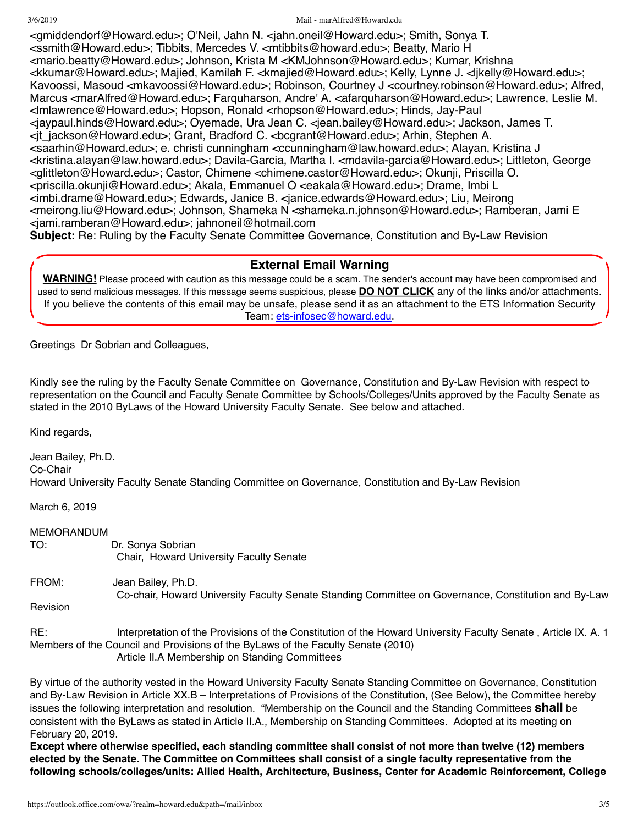3/6/2019 Mail - marAlfred@Howard.edu

<gmiddendorf@Howard.edu>; O'Neil, Jahn N. <jahn.oneil@Howard.edu>; Smith, Sonya T. <ssmith@Howard.edu>; Tibbits, Mercedes V. <mtibbits@howard.edu>; Beatty, Mario H <mario.beatty@Howard.edu>; Johnson, Krista M <KMJohnson@Howard.edu>; Kumar, Krishna <kkumar@Howard.edu>; Majied, Kamilah F. <kmajied@Howard.edu>; Kelly, Lynne J. <ljkelly@Howard.edu>; Kavoossi, Masoud <mkavoossi@Howard.edu>; Robinson, Courtney J <courtney.robinson@Howard.edu>; Alfred, Marcus <marAlfred@Howard.edu>; Farquharson, Andre' A. <afarquharson@Howard.edu>; Lawrence, Leslie M. <lmlawrence@Howard.edu>; Hopson, Ronald <rhopson@Howard.edu>; Hinds, Jay-Paul <jaypaul.hinds@Howard.edu>; Oyemade, Ura Jean C. <jean.bailey@Howard.edu>; Jackson, James T. <jt\_jackson@Howard.edu>; Grant, Bradford C. <bcgrant@Howard.edu>; Arhin, Stephen A. <saarhin@Howard.edu>; e. christi cunningham <ccunningham@law.howard.edu>; Alayan, Kristina J <kristina.alayan@law.howard.edu>; Davila-Garcia, Martha I. <mdavila-garcia@Howard.edu>; Littleton, George <glittleton@Howard.edu>; Castor, Chimene <chimene.castor@Howard.edu>; Okunji, Priscilla O. <priscilla.okunji@Howard.edu>; Akala, Emmanuel O <eakala@Howard.edu>; Drame, Imbi L <imbi.drame@Howard.edu>; Edwards, Janice B. <janice.edwards@Howard.edu>; Liu, Meirong <meirong.liu@Howard.edu>; Johnson, Shameka N <shameka.n.johnson@Howard.edu>; Ramberan, Jami E <jami.ramberan@Howard.edu>; jahnoneil@hotmail.com **Subject:** Re: Ruling by the Faculty Senate Committee Governance, Constitution and By-Law Revision

### **External Email Warning**

**WARNING!** Please proceed with caution as this message could be a scam. The sender's account may have been compromised and used to send malicious messages. If this message seems suspicious, please **DO NOT CLICK** any of the links and/or attachments. If you believe the contents of this email may be unsafe, please send it as an attachment to the ETS Information Security Team: [ets-infosec@howard.edu.](mailto:ets-infosec@howard.edu)

Greetings Dr Sobrian and Colleagues,

Kindly see the ruling by the Faculty Senate Committee on Governance, Constitution and By-Law Revision with respect to representation on the Council and Faculty Senate Committee by Schools/Colleges/Units approved by the Faculty Senate as stated in the 2010 ByLaws of the Howard University Faculty Senate. See below and attached.

Kind regards,

Jean Bailey, Ph.D. Co-Chair Howard University Faculty Senate Standing Committee on Governance, Constitution and By-Law Revision

March 6, 2019

### MEMORANDUM

TO: Dr. Sonya Sobrian Chair, Howard University Faculty Senate

FROM: Jean Bailey, Ph.D.

Co-chair, Howard University Faculty Senate Standing Committee on Governance, Constitution and By-Law Revision

RE: Interpretation of the Provisions of the Constitution of the Howard University Faculty Senate , Article IX. A. 1 Members of the Council and Provisions of the ByLaws of the Faculty Senate (2010) Article II.A Membership on Standing Committees

By virtue of the authority vested in the Howard University Faculty Senate Standing Committee on Governance, Constitution and By-Law Revision in Article XX.B – Interpretations of Provisions of the Constitution, (See Below), the Committee hereby issues the following interpretation and resolution. "Membership on the Council and the Standing Committees **shall** be consistent with the ByLaws as stated in Article II.A., Membership on Standing Committees. Adopted at its meeting on February 20, 2019.

**Except where otherwise specified, each standing committee shall consist of not more than twelve (12) members** elected by the Senate. The Committee on Committees shall consist of a single faculty representative from the **following schools/colleges/units: Allied Health, Architecture, Business, Center for Academic Reinforcement, College**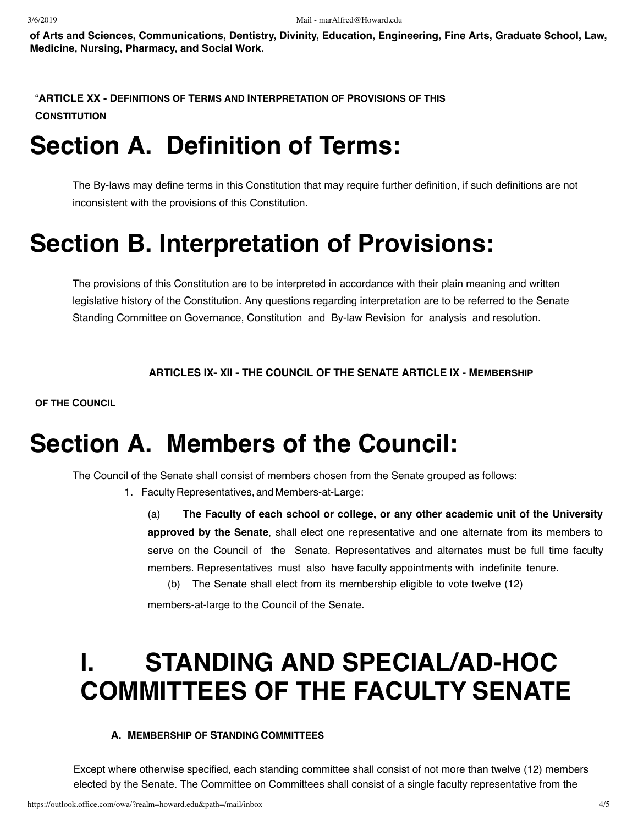**of Arts and Sciences, Communications, Dentistry, Divinity, Education, Engineering, Fine Arts, Graduate School, Law, Medicine, Nursing, Pharmacy, and Social Work.**

"**ARTICLE XX - DEFINITIONS OF TERMS AND INTERPRETATION OF PROVISIONS OF THIS CONSTITUTION**

## **Section A. Definition of Terms:**

The By-laws may define terms in this Constitution that may require further definition, if such definitions are not inconsistent with the provisions of this Constitution.

# **Section B. Interpretation of Provisions:**

The provisions of this Constitution are to be interpreted in accordance with their plain meaning and written legislative history of the Constitution. Any questions regarding interpretation are to be referred to the Senate Standing Committee on Governance, Constitution and By-law Revision for analysis and resolution.

**ARTICLES IX- XII - THE COUNCIL OF THE SENATE ARTICLE IX - MEMBERSHIP**

**OF THE COUNCIL**

## **Section A. Members of the Council:**

The Council of the Senate shall consist of members chosen from the Senate grouped as follows:

1. Faculty Representatives, andMembers-at-Large:

(a) **The Faculty of each school or college, or any other academic unit of the University approved by the Senate**, shall elect one representative and one alternate from its members to serve on the Council of the Senate. Representatives and alternates must be full time faculty members. Representatives must also have faculty appointments with indefinite tenure.

(b) The Senate shall elect from its membership eligible to vote twelve (12)

members-at-large to the Council of the Senate.

# **I. STANDING AND SPECIAL/AD-HOC COMMITTEES OF THE FACULTY SENATE**

### **A. MEMBERSHIP OF STANDING COMMITTEES**

Except where otherwise specified, each standing committee shall consist of not more than twelve (12) members elected by the Senate. The Committee on Committees shall consist of a single faculty representative from the